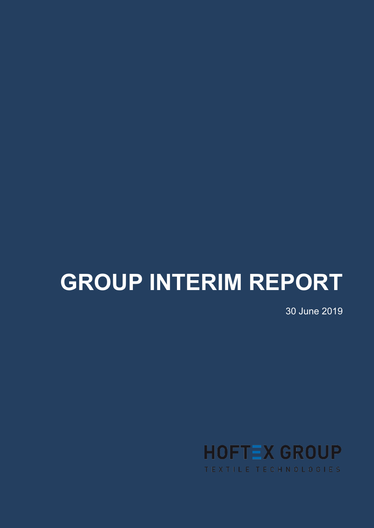# **GROUP INTERIM REPORT**

30 June 2019

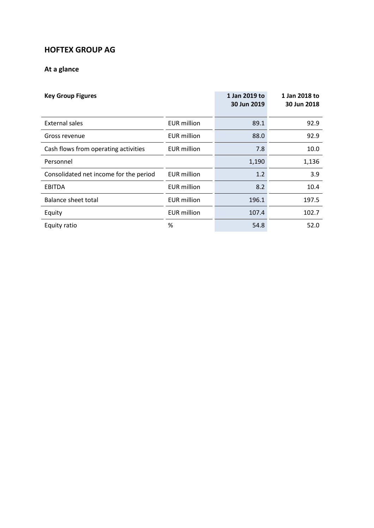# **HOFTEX GROUP AG**

# **At a glance**

| <b>Key Group Figures</b>               |                    | 1 Jan 2019 to<br>30 Jun 2019 | 1 Jan 2018 to<br>30 Jun 2018 |
|----------------------------------------|--------------------|------------------------------|------------------------------|
| External sales                         | EUR million        | 89.1                         | 92.9                         |
| Gross revenue                          | <b>EUR million</b> | 88.0                         | 92.9                         |
| Cash flows from operating activities   | EUR million        | 7.8                          | 10.0                         |
| Personnel                              |                    | 1,190                        | 1,136                        |
| Consolidated net income for the period | <b>EUR</b> million | 1.2                          | 3.9                          |
| <b>EBITDA</b>                          | <b>EUR</b> million | 8.2                          | 10.4                         |
| Balance sheet total                    | <b>EUR million</b> | 196.1                        | 197.5                        |
| Equity                                 | <b>EUR million</b> | 107.4                        | 102.7                        |
| Equity ratio                           | %                  | 54.8                         | 52.0                         |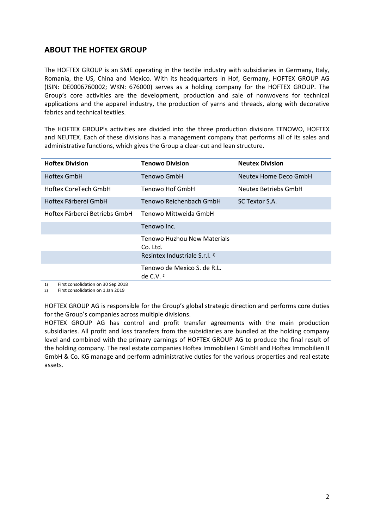# **ABOUT THE HOFTEX GROUP**

The HOFTEX GROUP is an SME operating in the textile industry with subsidiaries in Germany, Italy, Romania, the US, China and Mexico. With its headquarters in Hof, Germany, HOFTEX GROUP AG (ISIN: DE0006760002; WKN: 676000) serves as a holding company for the HOFTEX GROUP. The Group's core activities are the development, production and sale of nonwovens for technical applications and the apparel industry, the production of yarns and threads, along with decorative fabrics and technical textiles.

The HOFTEX GROUP's activities are divided into the three production divisions TENOWO, HOFTEX and NEUTEX. Each of these divisions has a management company that performs all of its sales and administrative functions, which gives the Group a clear-cut and lean structure.

| <b>Hoftex Division</b>        | <b>Tenowo Division</b>                      | <b>Neutex Division</b> |
|-------------------------------|---------------------------------------------|------------------------|
| Hoftex GmbH                   | Tenowo GmbH                                 | Neutex Home Deco GmbH  |
| Hoftex CoreTech GmbH          | Tenowo Hof GmbH                             | Neutex Betriebs GmbH   |
| Hoftex Färberei GmbH          | Tenowo Reichenbach GmbH                     | SC Textor S.A.         |
| Hoftex Färberei Betriebs GmbH | Tenowo Mittweida GmbH                       |                        |
|                               | Tenowo Inc.                                 |                        |
|                               | Tenowo Huzhou New Materials                 |                        |
|                               | Co. Ltd.                                    |                        |
|                               | Resintex Industriale S.r.l. <sup>1)</sup>   |                        |
|                               | Tenowo de Mexico S. de R.L.<br>de $C.V.$ 2) |                        |

1) First consolidation on 30 Sep 2018 2) First consolidation on 1 Jan 2019

HOFTEX GROUP AG is responsible for the Group's global strategic direction and performs core duties for the Group's companies across multiple divisions.

HOFTEX GROUP AG has control and profit transfer agreements with the main production subsidiaries. All profit and loss transfers from the subsidiaries are bundled at the holding company level and combined with the primary earnings of HOFTEX GROUP AG to produce the final result of the holding company. The real estate companies Hoftex Immobilien I GmbH and Hoftex Immobilien II GmbH & Co. KG manage and perform administrative duties for the various properties and real estate assets.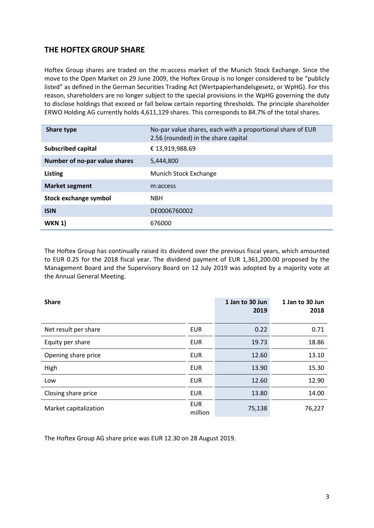# **THE HOFTEX GROUP SHARE**

Hoftex Group shares are traded on the m:access market of the Munich Stock Exchange. Since the move to the Open Market on 29 June 2009, the Hoftex Group is no longer considered to be "publicly listed" as defined in the German Securities Trading Act (Wertpapierhandelsgesetz, or WpHG). For this reason, shareholders are no longer subject to the special provisions in the WpHG governing the duty to disclose holdings that exceed or fall below certain reporting thresholds. The principle shareholder ERWO Holding AG currently holds 4,611,129 shares. This corresponds to 84.7% of the total shares.

| <b>Share type</b>             | No-par value shares, each with a proportional share of EUR<br>2.56 (rounded) in the share capital |
|-------------------------------|---------------------------------------------------------------------------------------------------|
| Subscribed capital            | € 13,919,988.69                                                                                   |
| Number of no-par value shares | 5,444,800                                                                                         |
| <b>Listing</b>                | Munich Stock Exchange                                                                             |
| <b>Market segment</b>         | m:access                                                                                          |
| Stock exchange symbol         | <b>NBH</b>                                                                                        |
| <b>ISIN</b>                   | DE0006760002                                                                                      |
| <b>WKN 1)</b>                 | 676000                                                                                            |

The Hoftex Group has continually raised its dividend over the previous fiscal years, which amounted to EUR 0.25 for the 2018 fiscal year. The dividend payment of EUR 1,361,200.00 proposed by the Management Board and the Supervisory Board on 12 July 2019 was adopted by a majority vote at the Annual General Meeting.

| <b>Share</b>          |                       | 1 Jan to 30 Jun<br>2019 | 1 Jan to 30 Jun<br>2018 |
|-----------------------|-----------------------|-------------------------|-------------------------|
| Net result per share  | <b>EUR</b>            | 0.22                    | 0.71                    |
| Equity per share      | <b>EUR</b>            | 19.73                   | 18.86                   |
| Opening share price   | <b>EUR</b>            | 12.60                   | 13.10                   |
| High                  | <b>EUR</b>            | 13.90                   | 15.30                   |
| Low                   | <b>EUR</b>            | 12.60                   | 12.90                   |
| Closing share price   | <b>EUR</b>            | 13.80                   | 14.00                   |
| Market capitalization | <b>EUR</b><br>million | 75,138                  | 76,227                  |

The Hoftex Group AG share price was EUR 12.30 on 28 August 2019.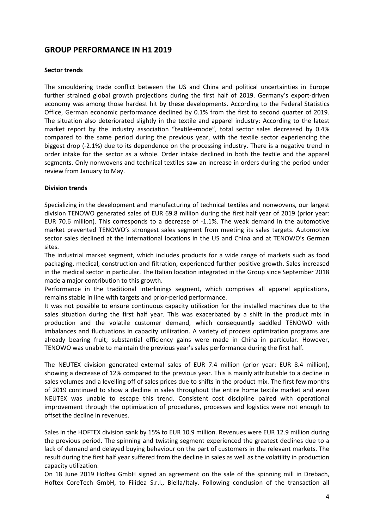## **GROUP PERFORMANCE IN H1 2019**

#### **Sector trends**

The smouldering trade conflict between the US and China and political uncertainties in Europe further strained global growth projections during the first half of 2019. Germany's export-driven economy was among those hardest hit by these developments. According to the Federal Statistics Office, German economic performance declined by 0.1% from the first to second quarter of 2019. The situation also deteriorated slightly in the textile and apparel industry: According to the latest market report by the industry association "textile+mode", total sector sales decreased by 0.4% compared to the same period during the previous year, with the textile sector experiencing the biggest drop (-2.1%) due to its dependence on the processing industry. There is a negative trend in order intake for the sector as a whole. Order intake declined in both the textile and the apparel segments. Only nonwovens and technical textiles saw an increase in orders during the period under review from January to May.

#### **Division trends**

Specializing in the development and manufacturing of technical textiles and nonwovens, our largest division TENOWO generated sales of EUR 69.8 million during the first half year of 2019 (prior year: EUR 70.6 million). This corresponds to a decrease of -1.1%. The weak demand in the automotive market prevented TENOWO's strongest sales segment from meeting its sales targets. Automotive sector sales declined at the international locations in the US and China and at TENOWO's German sites.

The industrial market segment, which includes products for a wide range of markets such as food packaging, medical, construction and filtration, experienced further positive growth. Sales increased in the medical sector in particular. The Italian location integrated in the Group since September 2018 made a major contribution to this growth.

Performance in the traditional interlinings segment, which comprises all apparel applications, remains stable in line with targets and prior-period performance.

It was not possible to ensure continuous capacity utilization for the installed machines due to the sales situation during the first half year. This was exacerbated by a shift in the product mix in production and the volatile customer demand, which consequently saddled TENOWO with imbalances and fluctuations in capacity utilization. A variety of process optimization programs are already bearing fruit; substantial efficiency gains were made in China in particular. However, TENOWO was unable to maintain the previous year's sales performance during the first half.

The NEUTEX division generated external sales of EUR 7.4 million (prior year: EUR 8.4 million), showing a decrease of 12% compared to the previous year. This is mainly attributable to a decline in sales volumes and a levelling off of sales prices due to shifts in the product mix. The first few months of 2019 continued to show a decline in sales throughout the entire home textile market and even NEUTEX was unable to escape this trend. Consistent cost discipline paired with operational improvement through the optimization of procedures, processes and logistics were not enough to offset the decline in revenues.

Sales in the HOFTEX division sank by 15% to EUR 10.9 million. Revenues were EUR 12.9 million during the previous period. The spinning and twisting segment experienced the greatest declines due to a lack of demand and delayed buying behaviour on the part of customers in the relevant markets. The result during the first half year suffered from the decline in sales as well as the volatility in production capacity utilization.

On 18 June 2019 Hoftex GmbH signed an agreement on the sale of the spinning mill in Drebach, Hoftex CoreTech GmbH, to Filidea S.r.l., Biella/Italy. Following conclusion of the transaction all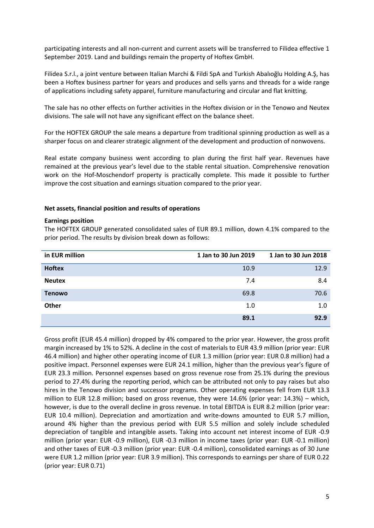participating interests and all non-current and current assets will be transferred to Filidea effective 1 September 2019. Land and buildings remain the property of Hoftex GmbH.

Filidea S.r.l., a joint venture between Italian Marchi & Fildi SpA and Turkish Abalıoğlu Holding A.Ş, has been a Hoftex business partner for years and produces and sells yarns and threads for a wide range of applications including safety apparel, furniture manufacturing and circular and flat knitting.

The sale has no other effects on further activities in the Hoftex division or in the Tenowo and Neutex divisions. The sale will not have any significant effect on the balance sheet.

For the HOFTEX GROUP the sale means a departure from traditional spinning production as well as a sharper focus on and clearer strategic alignment of the development and production of nonwovens.

Real estate company business went according to plan during the first half year. Revenues have remained at the previous year's level due to the stable rental situation. Comprehensive renovation work on the Hof-Moschendorf property is practically complete. This made it possible to further improve the cost situation and earnings situation compared to the prior year.

#### **Net assets, financial position and results of operations**

#### **Earnings position**

The HOFTEX GROUP generated consolidated sales of EUR 89.1 million, down 4.1% compared to the prior period. The results by division break down as follows:

| in EUR million | 1 Jan to 30 Jun 2019 | 1 Jan to 30 Jun 2018 |
|----------------|----------------------|----------------------|
| <b>Hoftex</b>  | 10.9                 | 12.9                 |
| <b>Neutex</b>  | 7.4                  | 8.4                  |
| <b>Tenowo</b>  | 69.8                 | 70.6                 |
| <b>Other</b>   | 1.0                  | 1.0                  |
|                | 89.1                 | 92.9                 |

Gross profit (EUR 45.4 million) dropped by 4% compared to the prior year. However, the gross profit margin increased by 1% to 52%. A decline in the cost of materials to EUR 43.9 million (prior year: EUR 46.4 million) and higher other operating income of EUR 1.3 million (prior year: EUR 0.8 million) had a positive impact. Personnel expenses were EUR 24.1 million, higher than the previous year's figure of EUR 23.3 million. Personnel expenses based on gross revenue rose from 25.1% during the previous period to 27.4% during the reporting period, which can be attributed not only to pay raises but also hires in the Tenowo division and successor programs. Other operating expenses fell from EUR 13.3 million to EUR 12.8 million; based on gross revenue, they were 14.6% (prior year: 14.3%) – which, however, is due to the overall decline in gross revenue. In total EBITDA is EUR 8.2 million (prior year: EUR 10.4 million). Depreciation and amortization and write-downs amounted to EUR 5.7 million, around 4% higher than the previous period with EUR 5.5 million and solely include scheduled depreciation of tangible and intangible assets. Taking into account net interest income of EUR -0.9 million (prior year: EUR -0.9 million), EUR -0.3 million in income taxes (prior year: EUR -0.1 million) and other taxes of EUR -0.3 million (prior year: EUR -0.4 million), consolidated earnings as of 30 June were EUR 1.2 million (prior year: EUR 3.9 million). This corresponds to earnings per share of EUR 0.22 (prior year: EUR 0.71)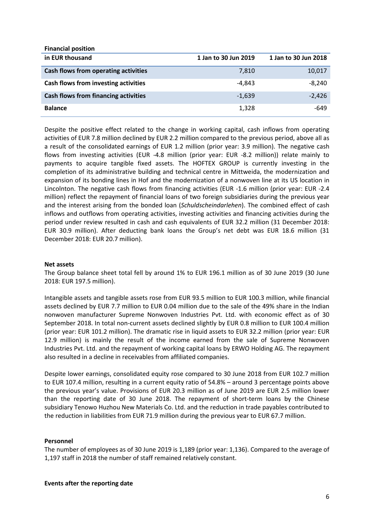| <b>Financial position</b>                   |                      |                      |
|---------------------------------------------|----------------------|----------------------|
| in EUR thousand                             | 1 Jan to 30 Jun 2019 | 1 Jan to 30 Jun 2018 |
| Cash flows from operating activities        | 7,810                | 10,017               |
| Cash flows from investing activities        | -4.843               | $-8,240$             |
| <b>Cash flows from financing activities</b> | $-1.639$             | $-2,426$             |
| <b>Balance</b>                              | 1,328                | -649                 |

Despite the positive effect related to the change in working capital, cash inflows from operating activities of EUR 7.8 million declined by EUR 2.2 million compared to the previous period, above all as a result of the consolidated earnings of EUR 1.2 million (prior year: 3.9 million). The negative cash flows from investing activities (EUR -4.8 million (prior year: EUR -8.2 million)) relate mainly to payments to acquire tangible fixed assets. The HOFTEX GROUP is currently investing in the completion of its administrative building and technical centre in Mittweida, the modernization and expansion of its bonding lines in Hof and the modernization of a nonwoven line at its US location in Lincolnton. The negative cash flows from financing activities (EUR -1.6 million (prior year: EUR -2.4 million) reflect the repayment of financial loans of two foreign subsidiaries during the previous year and the interest arising from the bonded loan (*Schuldscheindarlehen*). The combined effect of cash inflows and outflows from operating activities, investing activities and financing activities during the period under review resulted in cash and cash equivalents of EUR 32.2 million (31 December 2018: EUR 30.9 million). After deducting bank loans the Group's net debt was EUR 18.6 million (31 December 2018: EUR 20.7 million).

#### **Net assets**

The Group balance sheet total fell by around 1% to EUR 196.1 million as of 30 June 2019 (30 June 2018: EUR 197.5 million).

Intangible assets and tangible assets rose from EUR 93.5 million to EUR 100.3 million, while financial assets declined by EUR 7.7 million to EUR 0.04 million due to the sale of the 49% share in the Indian nonwoven manufacturer Supreme Nonwoven Industries Pvt. Ltd. with economic effect as of 30 September 2018. In total non-current assets declined slightly by EUR 0.8 million to EUR 100.4 million (prior year: EUR 101.2 million). The dramatic rise in liquid assets to EUR 32.2 million (prior year: EUR 12.9 million) is mainly the result of the income earned from the sale of Supreme Nonwoven Industries Pvt. Ltd. and the repayment of working capital loans by ERWO Holding AG. The repayment also resulted in a decline in receivables from affiliated companies.

Despite lower earnings, consolidated equity rose compared to 30 June 2018 from EUR 102.7 million to EUR 107.4 million, resulting in a current equity ratio of 54.8% – around 3 percentage points above the previous year's value. Provisions of EUR 20.3 million as of June 2019 are EUR 2.5 million lower than the reporting date of 30 June 2018. The repayment of short-term loans by the Chinese subsidiary Tenowo Huzhou New Materials Co. Ltd. and the reduction in trade payables contributed to the reduction in liabilities from EUR 71.9 million during the previous year to EUR 67.7 million.

#### **Personnel**

The number of employees as of 30 June 2019 is 1,189 (prior year: 1,136). Compared to the average of 1,197 staff in 2018 the number of staff remained relatively constant.

#### **Events after the reporting date**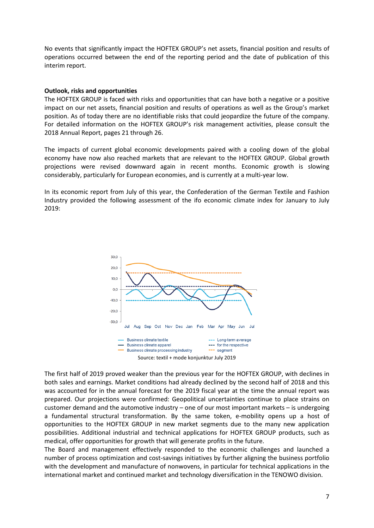No events that significantly impact the HOFTEX GROUP's net assets, financial position and results of operations occurred between the end of the reporting period and the date of publication of this interim report.

#### **Outlook, risks and opportunities**

The HOFTEX GROUP is faced with risks and opportunities that can have both a negative or a positive impact on our net assets, financial position and results of operations as well as the Group's market position. As of today there are no identifiable risks that could jeopardize the future of the company. For detailed information on the HOFTEX GROUP's risk management activities, please consult the 2018 Annual Report, pages 21 through 26.

The impacts of current global economic developments paired with a cooling down of the global economy have now also reached markets that are relevant to the HOFTEX GROUP. Global growth projections were revised downward again in recent months. Economic growth is slowing considerably, particularly for European economies, and is currently at a multi-year low.

In its economic report from July of this year, the Confederation of the German Textile and Fashion Industry provided the following assessment of the ifo economic climate index for January to July 2019:



The first half of 2019 proved weaker than the previous year for the HOFTEX GROUP, with declines in both sales and earnings. Market conditions had already declined by the second half of 2018 and this was accounted for in the annual forecast for the 2019 fiscal year at the time the annual report was prepared. Our projections were confirmed: Geopolitical uncertainties continue to place strains on customer demand and the automotive industry – one of our most important markets – is undergoing a fundamental structural transformation. By the same token, e-mobility opens up a host of opportunities to the HOFTEX GROUP in new market segments due to the many new application possibilities. Additional industrial and technical applications for HOFTEX GROUP products, such as medical, offer opportunities for growth that will generate profits in the future.

The Board and management effectively responded to the economic challenges and launched a number of process optimization and cost-savings initiatives by further aligning the business portfolio with the development and manufacture of nonwovens, in particular for technical applications in the international market and continued market and technology diversification in the TENOWO division.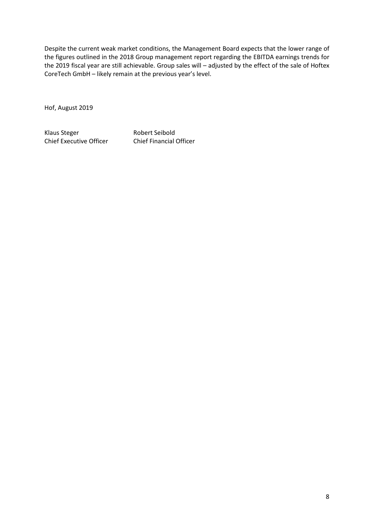Despite the current weak market conditions, the Management Board expects that the lower range of the figures outlined in the 2018 Group management report regarding the EBITDA earnings trends for the 2019 fiscal year are still achievable. Group sales will – adjusted by the effect of the sale of Hoftex CoreTech GmbH – likely remain at the previous year's level.

Hof, August 2019

Klaus Steger Robert Seibold Chief Executive Officer Chief Financial Officer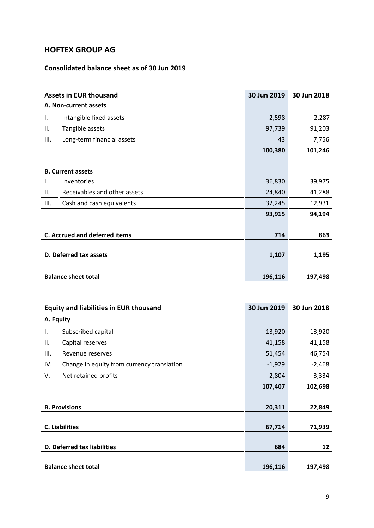# **HOFTEX GROUP AG**

# **Consolidated balance sheet as of 30 Jun 2019**

|                            | <b>Assets in EUR thousand</b>        | 30 Jun 2019 | 30 Jun 2018 |
|----------------------------|--------------------------------------|-------------|-------------|
|                            | A. Non-current assets                |             |             |
| Ι.                         | Intangible fixed assets              | 2,598       | 2,287       |
| Ш.                         | Tangible assets                      | 97,739      | 91,203      |
| III.                       | Long-term financial assets           | 43          | 7,756       |
|                            |                                      | 100,380     | 101,246     |
|                            |                                      |             |             |
|                            | <b>B. Current assets</b>             |             |             |
| Ι.                         | Inventories                          | 36,830      | 39,975      |
| ΙΙ.                        | Receivables and other assets         | 24,840      | 41,288      |
| III.                       | Cash and cash equivalents            | 32,245      | 12,931      |
|                            |                                      | 93,915      | 94,194      |
|                            |                                      |             |             |
|                            | <b>C. Accrued and deferred items</b> | 714         | 863         |
|                            |                                      |             |             |
|                            | D. Deferred tax assets               | 1,107       | 1,195       |
|                            |                                      |             |             |
| <b>Balance sheet total</b> |                                      | 196,116     | 197,498     |

|           | <b>Equity and liabilities in EUR thousand</b> | 30 Jun 2019 | 30 Jun 2018 |
|-----------|-----------------------------------------------|-------------|-------------|
| A. Equity |                                               |             |             |
| Ι.        | Subscribed capital                            | 13,920      | 13,920      |
| Н.        | Capital reserves                              | 41,158      | 41,158      |
| III.      | Revenue reserves                              | 51,454      | 46,754      |
| IV.       | Change in equity from currency translation    | $-1,929$    | $-2,468$    |
| V.        | Net retained profits                          | 2,804       | 3,334       |
|           |                                               | 107,407     | 102,698     |
|           |                                               |             |             |
|           | <b>B. Provisions</b>                          | 20,311      | 22,849      |
|           |                                               |             |             |
|           | <b>C.</b> Liabilities                         | 67,714      | 71,939      |
|           |                                               |             |             |
|           | D. Deferred tax liabilities                   | 684         | 12          |
|           |                                               |             |             |
|           | <b>Balance sheet total</b>                    | 196,116     | 197,498     |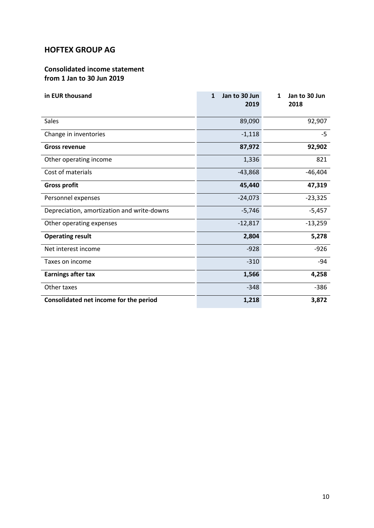# **HOFTEX GROUP AG**

## **Consolidated income statement from 1 Jan to 30 Jun 2019**

| in EUR thousand                            | Jan to 30 Jun<br>$\mathbf{1}$<br>2019 | $\mathbf{1}$<br>Jan to 30 Jun<br>2018 |
|--------------------------------------------|---------------------------------------|---------------------------------------|
| <b>Sales</b>                               | 89,090                                | 92,907                                |
| Change in inventories                      | $-1,118$                              | $-5$                                  |
| <b>Gross revenue</b>                       | 87,972                                | 92,902                                |
| Other operating income                     | 1,336                                 | 821                                   |
| Cost of materials                          | $-43,868$                             | $-46,404$                             |
| <b>Gross profit</b>                        | 45,440                                | 47,319                                |
| Personnel expenses                         | $-24,073$                             | $-23,325$                             |
| Depreciation, amortization and write-downs | $-5,746$                              | $-5,457$                              |
| Other operating expenses                   | $-12,817$                             | $-13,259$                             |
| <b>Operating result</b>                    | 2,804                                 | 5,278                                 |
| Net interest income                        | $-928$                                | $-926$                                |
| Taxes on income                            | $-310$                                | -94                                   |
| <b>Earnings after tax</b>                  | 1,566                                 | 4,258                                 |
| Other taxes                                | $-348$                                | $-386$                                |
| Consolidated net income for the period     | 1,218                                 | 3,872                                 |